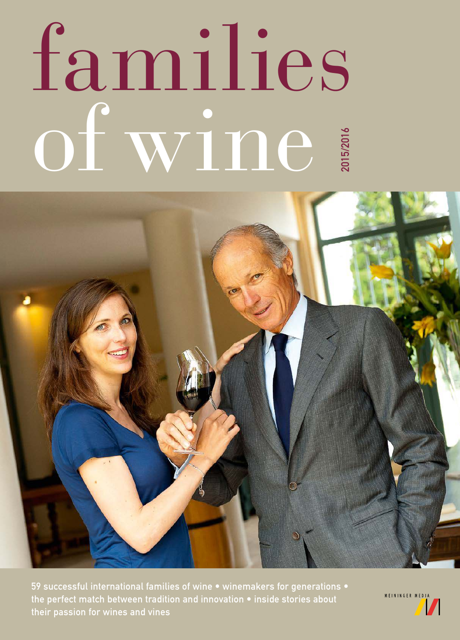## families of wine a 2015/2016



59 successful international families of wine • winemakers for generations • the perfect match between tradition and innovation • inside stories about their passion for wines and vines

MEININGER MEDIA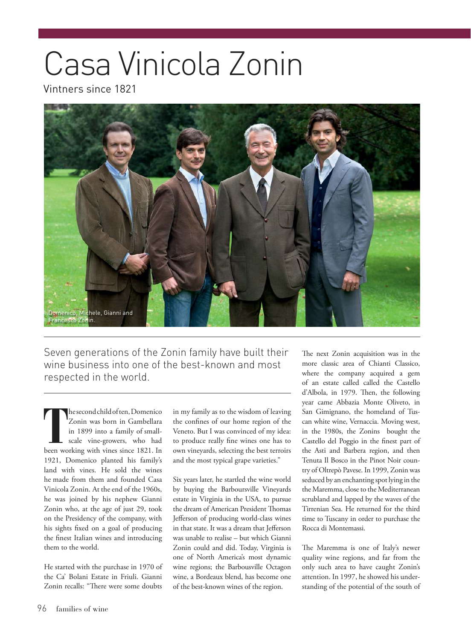## Casa Vinicola Zonin

Vintners since 1821



Seven generations of the Zonin family have built their wine business into one of the best-known and most respected in the world.

**T** he second child of ten, Domenico Zonin was born in Gambellara in 1899 into a family of smallscale vine-growers, who had been working with vines since 1821. In 1921, Domenico planted his family's land with vines. He sold the wines he made from them and founded Casa Vinicola Zonin. At the end of the 1960s, he was joined by his nephew Gianni Zonin who, at the age of just 29, took on the Presidency of the company, with his sights fixed on a goal of producing the finest Italian wines and introducing them to the world.

He started with the purchase in 1970 of the Ca' Bolani Estate in Friuli. Gianni Zonin recalls: "There were some doubts in my family as to the wisdom of leaving the confines of our home region of the Veneto. But I was convinced of my idea: to produce really fine wines one has to own vineyards, selecting the best terroirs and the most typical grape varieties."

Six years later, he startled the wine world by buying the Barboursville Vineyards estate in Virginia in the USA, to pursue the dream of American President Thomas Jefferson of producing world-class wines in that state. It was a dream that Jefferson was unable to realise – but which Gianni Zonin could and did. Today, Virginia is one of North America's most dynamic wine regions; the Barbousville Octagon wine, a Bordeaux blend, has become one of the best-known wines of the region.

The next Zonin acquisition was in the more classic area of Chianti Classico, where the company acquired a gem of an estate called called the Castello d'Albola, in 1979. Then, the following year came Abbazia Monte Oliveto, in San Gimignano, the homeland of Tuscan white wine, Vernaccia. Moving west, in the 1980s, the Zonins bought the Castello del Poggio in the finest part of the Asti and Barbera region, and then Tenuta Il Bosco in the Pinot Noir country of Oltrepò Pavese. In 1999, Zonin was seduced by an enchanting spot lying in the the Maremma, close to the Mediterranean scrubland and lapped by the waves of the Tirrenian Sea. He returned for the third time to Tuscany in order to purchase the Rocca di Montemassi.

The Maremma is one of Italy's newer quality wine regions, and far from the only such area to have caught Zonin's attention. In 1997, he showed his understanding of the potential of the south of